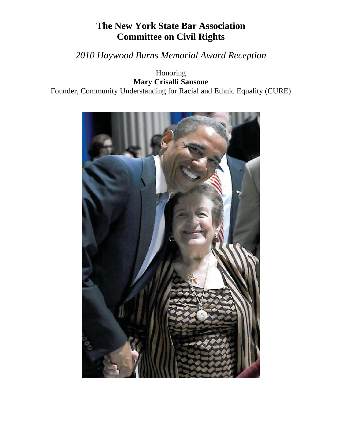## **The New York State Bar Association Committee on Civil Rights**

## *2010 Haywood Burns Memorial Award Reception*

Honoring **Mary Crisalli Sansone** Founder, Community Understanding for Racial and Ethnic Equality (CURE)